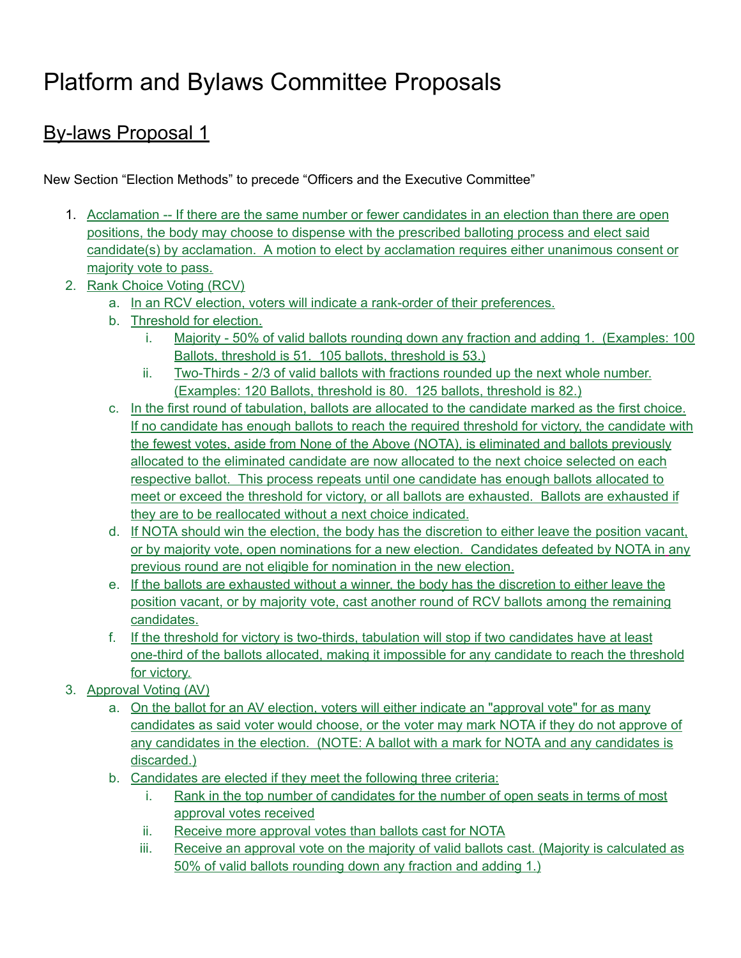# Platform and Bylaws Committee Proposals

# By-laws Proposal 1

New Section "Election Methods" to precede "Officers and the Executive Committee"

- 1. Acclamation -- If there are the same number or fewer candidates in an election than there are open positions, the body may choose to dispense with the prescribed balloting process and elect said candidate(s) by acclamation. A motion to elect by acclamation requires either unanimous consent or majority vote to pass.
- 2. Rank Choice Voting (RCV)
	- a. In an RCV election, voters will indicate a rank-order of their preferences.
	- b. Threshold for election.
		- i. Majority 50% of valid ballots rounding down any fraction and adding 1. (Examples: 100 Ballots, threshold is 51. 105 ballots, threshold is 53.)
		- ii. Two-Thirds 2/3 of valid ballots with fractions rounded up the next whole number. (Examples: 120 Ballots, threshold is 80. 125 ballots, threshold is 82.)
	- c. In the first round of tabulation, ballots are allocated to the candidate marked as the first choice. If no candidate has enough ballots to reach the required threshold for victory, the candidate with the fewest votes, aside from None of the Above (NOTA), is eliminated and ballots previously allocated to the eliminated candidate are now allocated to the next choice selected on each respective ballot. This process repeats until one candidate has enough ballots allocated to meet or exceed the threshold for victory, or all ballots are exhausted. Ballots are exhausted if they are to be reallocated without a next choice indicated.
	- d. If NOTA should win the election, the body has the discretion to either leave the position vacant, or by majority vote, open nominations for a new election. Candidates defeated by NOTA in any previous round are not eligible for nomination in the new election.
	- e. If the ballots are exhausted without a winner, the body has the discretion to either leave the position vacant, or by majority vote, cast another round of RCV ballots among the remaining candidates.
	- f. If the threshold for victory is two-thirds, tabulation will stop if two candidates have at least one-third of the ballots allocated, making it impossible for any candidate to reach the threshold for victory.
- 3. Approval Voting (AV)
	- a. On the ballot for an AV election, voters will either indicate an "approval vote" for as many candidates as said voter would choose, or the voter may mark NOTA if they do not approve of any candidates in the election. (NOTE: A ballot with a mark for NOTA and any candidates is discarded.)
	- b. Candidates are elected if they meet the following three criteria:
		- i. Rank in the top number of candidates for the number of open seats in terms of most approval votes received
		- ii. Receive more approval votes than ballots cast for NOTA
		- iii. Receive an approval vote on the majority of valid ballots cast. (Majority is calculated as 50% of valid ballots rounding down any fraction and adding 1.)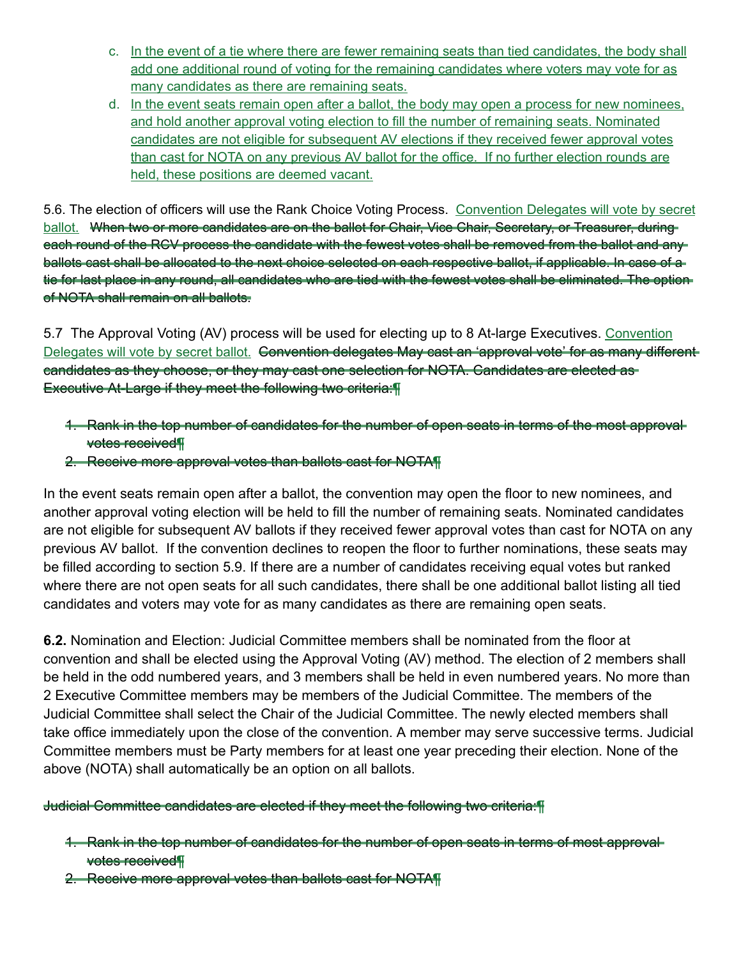- c. In the event of a tie where there are fewer remaining seats than tied candidates, the body shall add one additional round of voting for the remaining candidates where voters may vote for as many candidates as there are remaining seats.
- d. In the event seats remain open after a ballot, the body may open a process for new nominees, and hold another approval voting election to fill the number of remaining seats. Nominated candidates are not eligible for subsequent AV elections if they received fewer approval votes than cast for NOTA on any previous AV ballot for the office. If no further election rounds are held, these positions are deemed vacant.

5.6. The election of officers will use the Rank Choice Voting Process. Convention Delegates will vote by secret ballot. When two or more candidates are on the ballot for Chair, Vice Chair, Secretary, or Treasurer, duringeach round of the RCV process the candidate with the fewest votes shall be removed from the ballot and any ballots cast shall be allocated to the next choice selected on each respective ballot, if applicable. In case of a tie for last place in any round, all candidates who are tied with the fewest votes shall be eliminated. The option of NOTA shall remain on all ballots.

5.7 The Approval Voting (AV) process will be used for electing up to 8 At-large Executives. Convention Delegates will vote by secret ballot. Gonvention delegates May cast an 'approval vote' for as many differentcandidates as they choose, or they may cast one selection for NOTA. Candidates are elected as Executive At-Large if they meet the following two criteria:¶

- 1. Rank in the top number of candidates for the number of open seats in terms of the most approval votes received¶
- 2. Receive more approval votes than ballots cast for NOTA¶

In the event seats remain open after a ballot, the convention may open the floor to new nominees, and another approval voting election will be held to fill the number of remaining seats. Nominated candidates are not eligible for subsequent AV ballots if they received fewer approval votes than cast for NOTA on any previous AV ballot. If the convention declines to reopen the floor to further nominations, these seats may be filled according to section 5.9. If there are a number of candidates receiving equal votes but ranked where there are not open seats for all such candidates, there shall be one additional ballot listing all tied candidates and voters may vote for as many candidates as there are remaining open seats.

**6.2.** Nomination and Election: Judicial Committee members shall be nominated from the floor at convention and shall be elected using the Approval Voting (AV) method. The election of 2 members shall be held in the odd numbered years, and 3 members shall be held in even numbered years. No more than 2 Executive Committee members may be members of the Judicial Committee. The members of the Judicial Committee shall select the Chair of the Judicial Committee. The newly elected members shall take office immediately upon the close of the convention. A member may serve successive terms. Judicial Committee members must be Party members for at least one year preceding their election. None of the above (NOTA) shall automatically be an option on all ballots.

Judicial Committee candidates are elected if they meet the following two criteria:¶

- 1. Rank in the top number of candidates for the number of open seats in terms of most approval votes received¶
- 2. Receive more approval votes than ballots cast for NOTA¶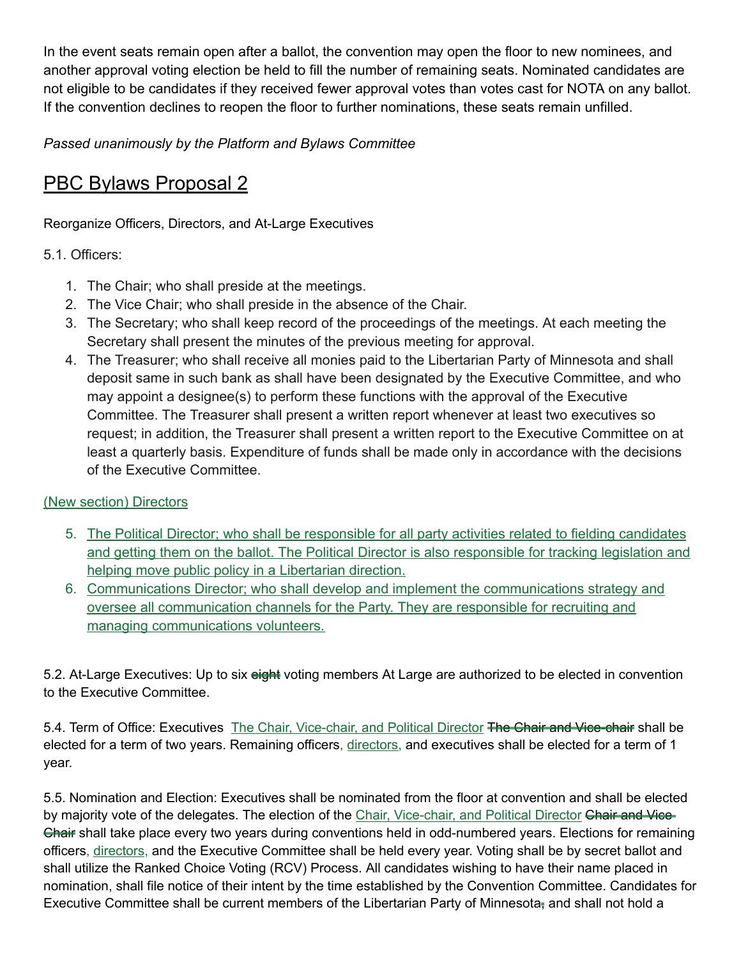In the event seats remain open after a ballot, the convention may open the floor to new nominees, and another approval voting election be held to fill the number of remaining seats. Nominated candidates are not eligible to be candidates if they received fewer approval votes than votes cast for NOTA on any ballot. If the convention declines to reopen the floor to further nominations, these seats remain unfilled.

*Passed unanimously by the Platform and Bylaws Committee*

# PBC Bylaws Proposal 2

Reorganize Officers, Directors, and At-Large Executives

#### 5.1. Officers:

- 1. The Chair; who shall preside at the meetings.
- 2. The Vice Chair; who shall preside in the absence of the Chair.
- 3. The Secretary; who shall keep record of the proceedings of the meetings. At each meeting the Secretary shall present the minutes of the previous meeting for approval.
- 4. The Treasurer; who shall receive all monies paid to the Libertarian Party of Minnesota and shall deposit same in such bank as shall have been designated by the Executive Committee, and who may appoint a designee(s) to perform these functions with the approval of the Executive Committee. The Treasurer shall present a written report whenever at least two executives so request; in addition, the Treasurer shall present a written report to the Executive Committee on at least a quarterly basis. Expenditure of funds shall be made only in accordance with the decisions of the Executive Committee.

#### (New section) Directors

- 5. The Political Director; who shall be responsible for all party activities related to fielding candidates and getting them on the ballot. The Political Director is also responsible for tracking legislation and helping move public policy in a Libertarian direction.
- 6. Communications Director; who shall develop and implement the communications strategy and oversee all communication channels for the Party. They are responsible for recruiting and managing communications volunteers.

5.2. At-Large Executives: Up to six eight voting members At Large are authorized to be elected in convention to the Executive Committee.

5.4. Term of Office: Executives The Chair, Vice-chair, and Political Director The Chair and Vice-chair shall be elected for a term of two years. Remaining officers, directors, and executives shall be elected for a term of 1 year.

5.5. Nomination and Election: Executives shall be nominated from the floor at convention and shall be elected by majority vote of the delegates. The election of the Chair, Vice-chair, and Political Director Chair and Vice-Chair shall take place every two years during conventions held in odd-numbered years. Elections for remaining officers, directors, and the Executive Committee shall be held every year. Voting shall be by secret ballot and shall utilize the Ranked Choice Voting (RCV) Process. All candidates wishing to have their name placed in nomination, shall file notice of their intent by the time established by the Convention Committee. Candidates for Executive Committee shall be current members of the Libertarian Party of Minnesota, and shall not hold a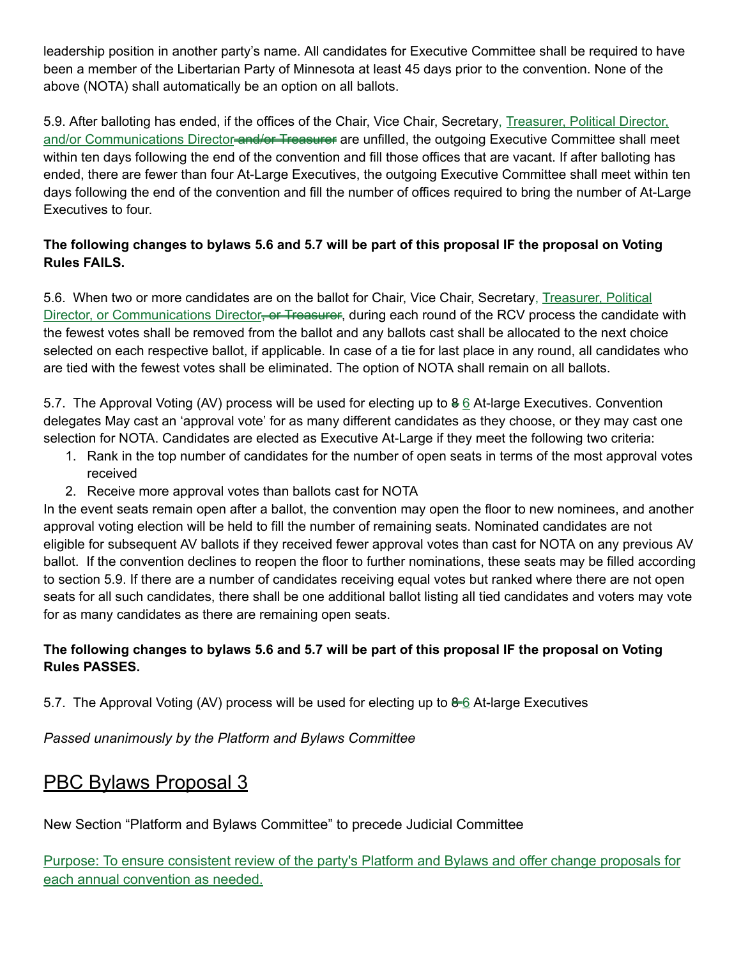leadership position in another party's name. All candidates for Executive Committee shall be required to have been a member of the Libertarian Party of Minnesota at least 45 days prior to the convention. None of the above (NOTA) shall automatically be an option on all ballots.

5.9. After balloting has ended, if the offices of the Chair, Vice Chair, Secretary, Treasurer, Political Director, and/or Communications Director-and/or-Treasurer are unfilled, the outgoing Executive Committee shall meet within ten days following the end of the convention and fill those offices that are vacant. If after balloting has ended, there are fewer than four At-Large Executives, the outgoing Executive Committee shall meet within ten days following the end of the convention and fill the number of offices required to bring the number of At-Large Executives to four.

### The following changes to bylaws 5.6 and 5.7 will be part of this proposal IF the proposal on Voting **Rules FAILS.**

5.6. When two or more candidates are on the ballot for Chair, Vice Chair, Secretary, Treasurer, Political Director, or Communications Director<del>, or Treasurer</del>, during each round of the RCV process the candidate with the fewest votes shall be removed from the ballot and any ballots cast shall be allocated to the next choice selected on each respective ballot, if applicable. In case of a tie for last place in any round, all candidates who are tied with the fewest votes shall be eliminated. The option of NOTA shall remain on all ballots.

5.7. The Approval Voting (AV) process will be used for electing up to 8 6 At-large Executives. Convention delegates May cast an 'approval vote' for as many different candidates as they choose, or they may cast one selection for NOTA. Candidates are elected as Executive At-Large if they meet the following two criteria:

- 1. Rank in the top number of candidates for the number of open seats in terms of the most approval votes received
- 2. Receive more approval votes than ballots cast for NOTA

In the event seats remain open after a ballot, the convention may open the floor to new nominees, and another approval voting election will be held to fill the number of remaining seats. Nominated candidates are not eligible for subsequent AV ballots if they received fewer approval votes than cast for NOTA on any previous AV ballot. If the convention declines to reopen the floor to further nominations, these seats may be filled according to section 5.9. If there are a number of candidates receiving equal votes but ranked where there are not open seats for all such candidates, there shall be one additional ballot listing all tied candidates and voters may vote for as many candidates as there are remaining open seats.

### The following changes to bylaws 5.6 and 5.7 will be part of this proposal IF the proposal on Voting **Rules PASSES.**

5.7. The Approval Voting (AV) process will be used for electing up to  $\theta$ –6 At-large Executives

*Passed unanimously by the Platform and Bylaws Committee*

### PBC Bylaws Proposal 3

New Section "Platform and Bylaws Committee" to precede Judicial Committee

Purpose: To ensure consistent review of the party's Platform and Bylaws and offer change proposals for each annual convention as needed.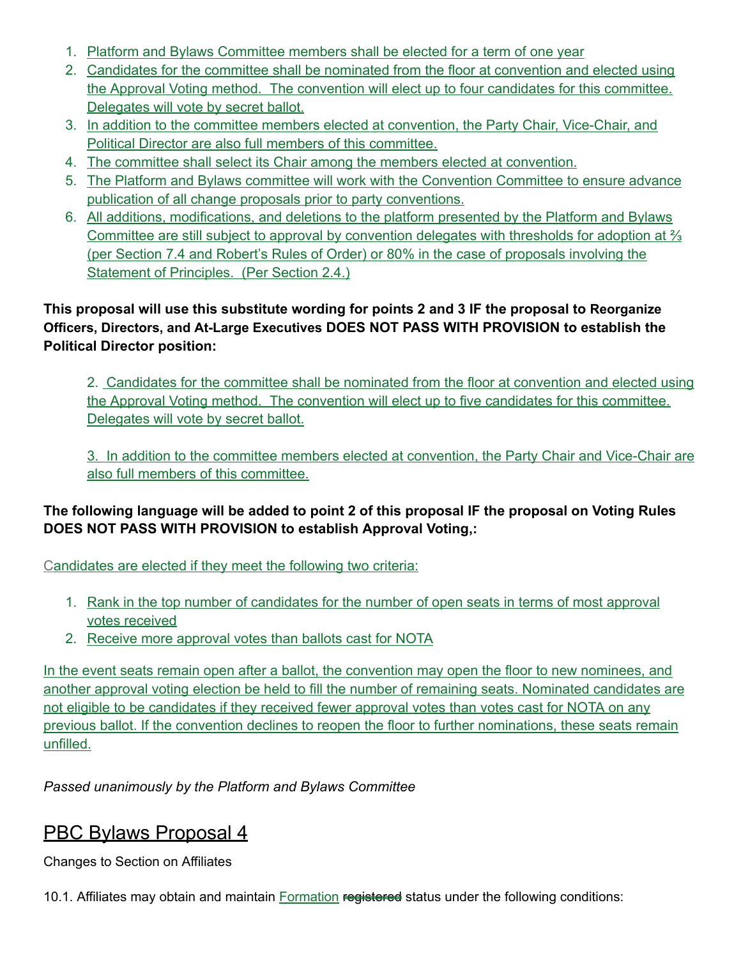- 1. Platform and Bylaws Committee members shall be elected for a term of one year
- 2. Candidates for the committee shall be nominated from the floor at convention and elected using the Approval Voting method. The convention will elect up to four candidates for this committee. Delegates will vote by secret ballot.
- 3. In addition to the committee members elected at convention, the Party Chair, Vice-Chair, and Political Director are also full members of this committee.
- 4. The committee shall select its Chair among the members elected at convention.
- 5. The Platform and Bylaws committee will work with the Convention Committee to ensure advance publication of all change proposals prior to party conventions.
- 6. All additions, modifications, and deletions to the platform presented by the Platform and Bylaws Committee are still subject to approval by convention delegates with thresholds for adoption at ⅔ (per Section 7.4 and Robert's Rules of Order) or 80% in the case of proposals involving the Statement of Principles. (Per Section 2.4.)

### **This proposal will use this substitute wording for points 2 and 3 IF the proposal to Reorganize Officers, Directors, and At-Large Executives DOES NOT PASS WITH PROVISION to establish the Political Director position:**

2. Candidates for the committee shall be nominated from the floor at convention and elected using the Approval Voting method. The convention will elect up to five candidates for this committee. Delegates will vote by secret ballot.

3. In addition to the committee members elected at convention, the Party Chair and Vice-Chair are also full members of this committee.

### **The following language will be added to point 2 of this proposal IF the proposal on Voting Rules DOES NOT PASS WITH PROVISION to establish Approval Voting,:**

Candidates are elected if they meet the following two criteria:

- 1. Rank in the top number of candidates for the number of open seats in terms of most approval votes received
- 2. Receive more approval votes than ballots cast for NOTA

In the event seats remain open after a ballot, the convention may open the floor to new nominees, and another approval voting election be held to fill the number of remaining seats. Nominated candidates are not eligible to be candidates if they received fewer approval votes than votes cast for NOTA on any previous ballot. If the convention declines to reopen the floor to further nominations, these seats remain unfilled.

*Passed unanimously by the Platform and Bylaws Committee*

### PBC Bylaws Proposal 4

Changes to Section on Affiliates

10.1. Affiliates may obtain and maintain **Formation registered** status under the following conditions: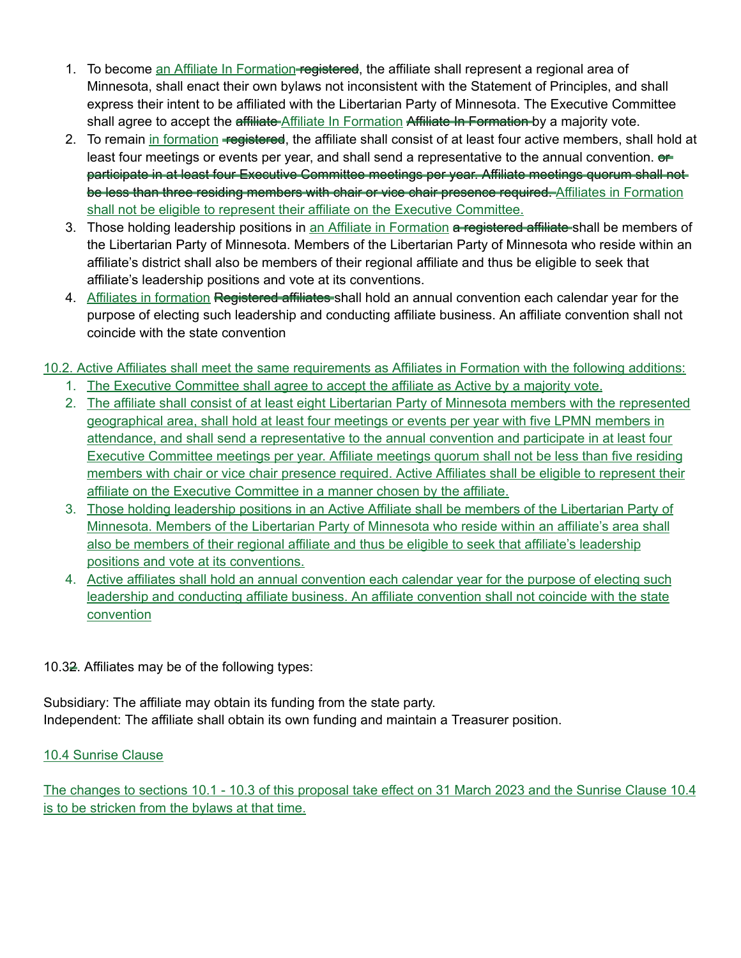- 1. To become an Affiliate In Formation-registered, the affiliate shall represent a regional area of Minnesota, shall enact their own bylaws not inconsistent with the Statement of Principles, and shall express their intent to be affiliated with the Libertarian Party of Minnesota. The Executive Committee shall agree to accept the affiliate Affiliate In Formation Affiliate In Formation by a majority vote.
- 2. To remain in formation registered, the affiliate shall consist of at least four active members, shall hold at least four meetings or events per year, and shall send a representative to the annual convention.  $e$ participate in at least four Executive Committee meetings per year. Affiliate meetings quorum shall not be less than three residing members with chair or vice chair presence required. Affiliates in Formation shall not be eligible to represent their affiliate on the Executive Committee.
- 3. Those holding leadership positions in an Affiliate in Formation a registered affiliate-shall be members of the Libertarian Party of Minnesota. Members of the Libertarian Party of Minnesota who reside within an affiliate's district shall also be members of their regional affiliate and thus be eligible to seek that affiliate's leadership positions and vote at its conventions.
- 4. Affiliates in formation Registered affiliates shall hold an annual convention each calendar year for the purpose of electing such leadership and conducting affiliate business. An affiliate convention shall not coincide with the state convention

#### 10.2. Active Affiliates shall meet the same requirements as Affiliates in Formation with the following additions:

- 1. The Executive Committee shall agree to accept the affiliate as Active by a majority vote.
- 2. The affiliate shall consist of at least eight Libertarian Party of Minnesota members with the represented geographical area, shall hold at least four meetings or events per year with five LPMN members in attendance, and shall send a representative to the annual convention and participate in at least four Executive Committee meetings per year. Affiliate meetings quorum shall not be less than five residing members with chair or vice chair presence required. Active Affiliates shall be eligible to represent their affiliate on the Executive Committee in a manner chosen by the affiliate.
- 3. Those holding leadership positions in an Active Affiliate shall be members of the Libertarian Party of Minnesota. Members of the Libertarian Party of Minnesota who reside within an affiliate's area shall also be members of their regional affiliate and thus be eligible to seek that affiliate's leadership positions and vote at its conventions.
- 4. Active affiliates shall hold an annual convention each calendar year for the purpose of electing such leadership and conducting affiliate business. An affiliate convention shall not coincide with the state convention

#### 10.32. Affiliates may be of the following types:

Subsidiary: The affiliate may obtain its funding from the state party. Independent: The affiliate shall obtain its own funding and maintain a Treasurer position.

#### 10.4 Sunrise Clause

The changes to sections 10.1 - 10.3 of this proposal take effect on 31 March 2023 and the Sunrise Clause 10.4 is to be stricken from the bylaws at that time.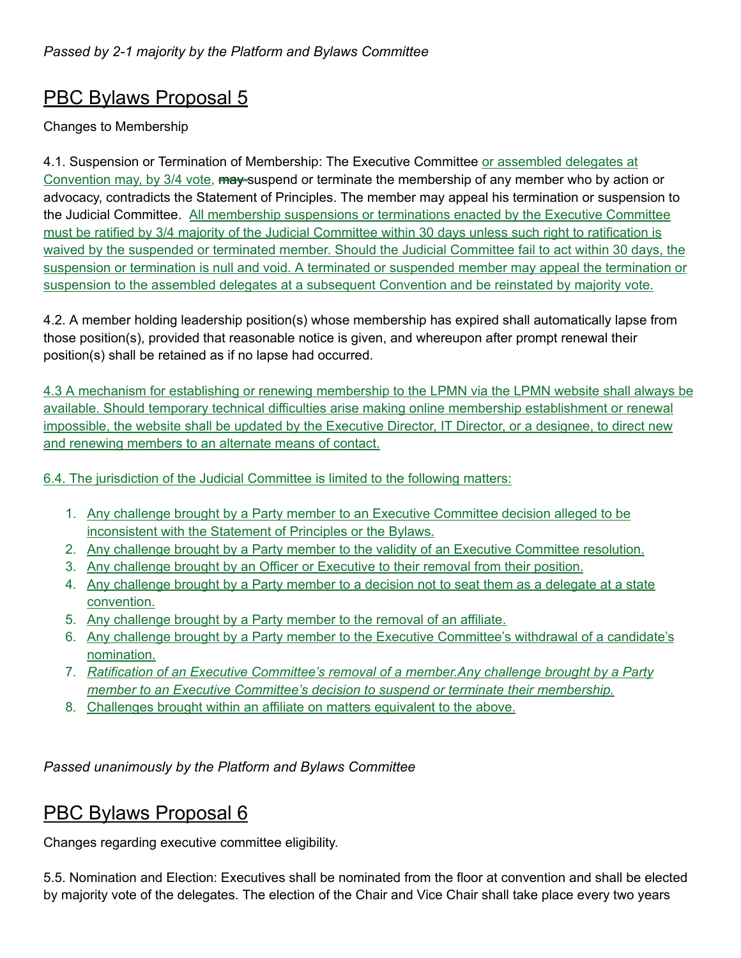# PBC Bylaws Proposal 5

### Changes to Membership

4.1. Suspension or Termination of Membership: The Executive Committee or assembled delegates at Convention may, by 3/4 vote, may suspend or terminate the membership of any member who by action or advocacy, contradicts the Statement of Principles. The member may appeal his termination or suspension to the Judicial Committee. All membership suspensions or terminations enacted by the Executive Committee must be ratified by 3/4 majority of the Judicial Committee within 30 days unless such right to ratification is waived by the suspended or terminated member. Should the Judicial Committee fail to act within 30 days, the suspension or termination is null and void. A terminated or suspended member may appeal the termination or suspension to the assembled delegates at a subsequent Convention and be reinstated by majority vote.

4.2. A member holding leadership position(s) whose membership has expired shall automatically lapse from those position(s), provided that reasonable notice is given, and whereupon after prompt renewal their position(s) shall be retained as if no lapse had occurred.

4.3 A mechanism for establishing or renewing membership to the LPMN via the LPMN website shall always be available. Should temporary technical difficulties arise making online membership establishment or renewal impossible, the website shall be updated by the Executive Director, IT Director, or a designee, to direct new and renewing members to an alternate means of contact.

6.4. The jurisdiction of the Judicial Committee is limited to the following matters:

- 1. Any challenge brought by a Party member to an Executive Committee decision alleged to be inconsistent with the Statement of Principles or the Bylaws.
- 2. Any challenge brought by a Party member to the validity of an Executive Committee resolution.
- 3. Any challenge brought by an Officer or Executive to their removal from their position.
- 4. Any challenge brought by a Party member to a decision not to seat them as a delegate at a state convention.
- 5. Any challenge brought by a Party member to the removal of an affiliate.
- 6. Any challenge brought by a Party member to the Executive Committee's withdrawal of a candidate's nomination.
- 7. *Ratification of an Executive Committee's removal of a member.Any challenge brought by a Party member to an Executive Committee's decision to suspend or terminate their membership.*
- 8. Challenges brought within an affiliate on matters equivalent to the above.

*Passed unanimously by the Platform and Bylaws Committee*

### PBC Bylaws Proposal 6

Changes regarding executive committee eligibility.

5.5. Nomination and Election: Executives shall be nominated from the floor at convention and shall be elected by majority vote of the delegates. The election of the Chair and Vice Chair shall take place every two years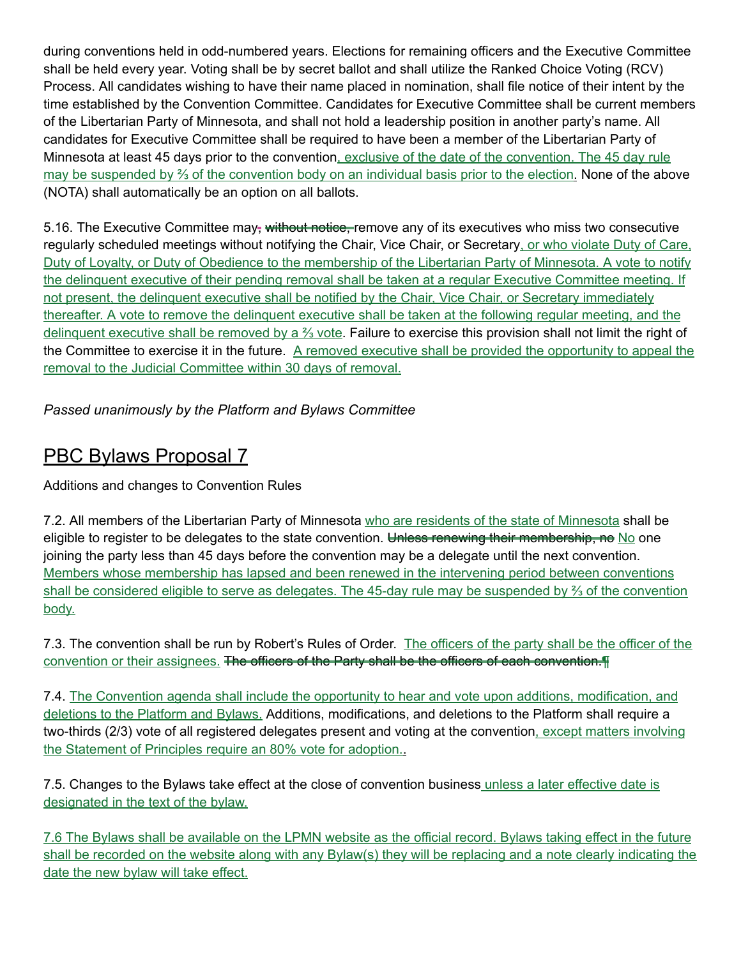during conventions held in odd-numbered years. Elections for remaining officers and the Executive Committee shall be held every year. Voting shall be by secret ballot and shall utilize the Ranked Choice Voting (RCV) Process. All candidates wishing to have their name placed in nomination, shall file notice of their intent by the time established by the Convention Committee. Candidates for Executive Committee shall be current members of the Libertarian Party of Minnesota, and shall not hold a leadership position in another party's name. All candidates for Executive Committee shall be required to have been a member of the Libertarian Party of Minnesota at least 45 days prior to the convention, exclusive of the date of the convention. The 45 day rule may be suspended by <sup>2</sup>/<sub>3</sub> of the convention body on an individual basis prior to the election. None of the above (NOTA) shall automatically be an option on all ballots.

5.16. The Executive Committee may, without notice, remove any of its executives who miss two consecutive regularly scheduled meetings without notifying the Chair, Vice Chair, or Secretary, or who violate Duty of Care, Duty of Loyalty, or Duty of Obedience to the membership of the Libertarian Party of Minnesota. A vote to notify the delinquent executive of their pending removal shall be taken at a regular Executive Committee meeting. If not present, the delinquent executive shall be notified by the Chair, Vice Chair, or Secretary immediately thereafter. A vote to remove the delinquent executive shall be taken at the following regular meeting, and the delinquent executive shall be removed by a <sup>3</sup>/<sub>3</sub> vote. Failure to exercise this provision shall not limit the right of the Committee to exercise it in the future. A removed executive shall be provided the opportunity to appeal the removal to the Judicial Committee within 30 days of removal.

*Passed unanimously by the Platform and Bylaws Committee*

### PBC Bylaws Proposal 7

Additions and changes to Convention Rules

7.2. All members of the Libertarian Party of Minnesota who are residents of the state of Minnesota shall be eligible to register to be delegates to the state convention. Unless renewing their membership, no No one joining the party less than 45 days before the convention may be a delegate until the next convention. Members whose membership has lapsed and been renewed in the intervening period between conventions shall be considered eligible to serve as delegates. The 45-day rule may be suspended by ⅔ of the convention body.

7.3. The convention shall be run by Robert's Rules of Order. The officers of the party shall be the officer of the convention or their assignees. The officers of the Party shall be the officers of each convention. T

7.4. The Convention agenda shall include the opportunity to hear and vote upon additions, modification, and deletions to the Platform and Bylaws. Additions, modifications, and deletions to the Platform shall require a two-thirds (2/3) vote of all registered delegates present and voting at the convention, except matters involving the Statement of Principles require an 80% vote for adoption..

7.5. Changes to the Bylaws take effect at the close of convention business unless a later effective date is designated in the text of the bylaw.

7.6 The Bylaws shall be available on the LPMN website as the official record. Bylaws taking effect in the future shall be recorded on the website along with any Bylaw(s) they will be replacing and a note clearly indicating the date the new bylaw will take effect.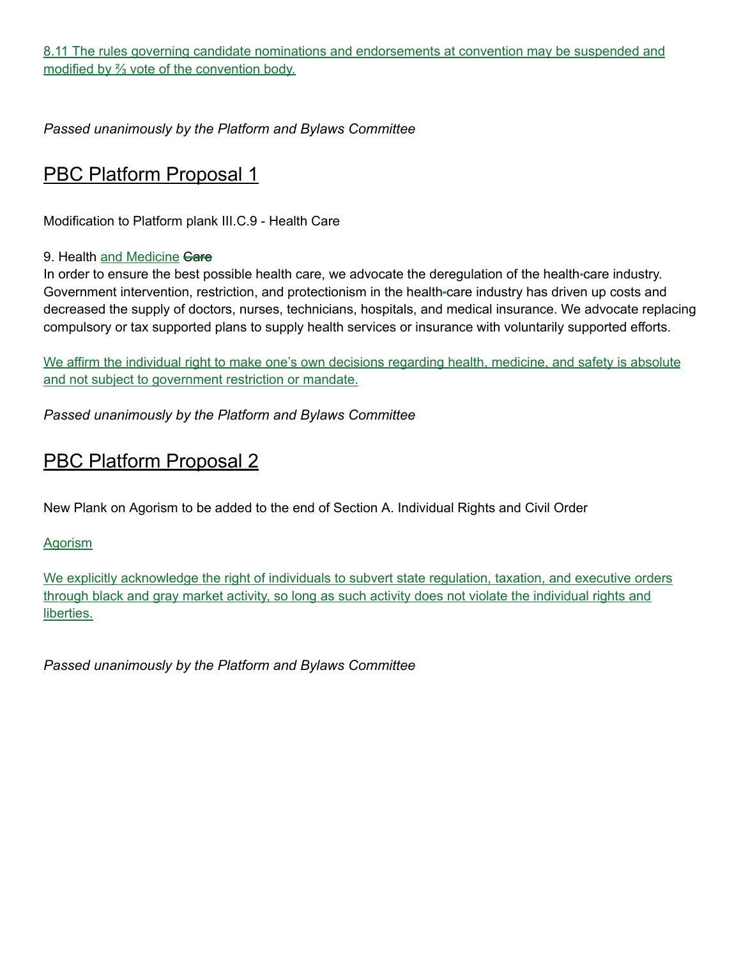8.11 The rules governing candidate nominations and endorsements at convention may be suspended and modified by ⅔ vote of the convention body.

*Passed unanimously by the Platform and Bylaws Committee*

### PBC Platform Proposal 1

Modification to Platform plank III.C.9 - Health Care

#### 9. Health and Medicine Gare

In order to ensure the best possible health care, we advocate the deregulation of the health-care industry. Government intervention, restriction, and protectionism in the health-care industry has driven up costs and decreased the supply of doctors, nurses, technicians, hospitals, and medical insurance. We advocate replacing compulsory or tax supported plans to supply health services or insurance with voluntarily supported efforts.

We affirm the individual right to make one's own decisions regarding health, medicine, and safety is absolute and not subject to government restriction or mandate.

*Passed unanimously by the Platform and Bylaws Committee*

### **PBC Platform Proposal 2**

New Plank on Agorism to be added to the end of Section A. Individual Rights and Civil Order

**Agorism** 

We explicitly acknowledge the right of individuals to subvert state regulation, taxation, and executive orders through black and gray market activity, so long as such activity does not violate the individual rights and liberties.

*Passed unanimously by the Platform and Bylaws Committee*